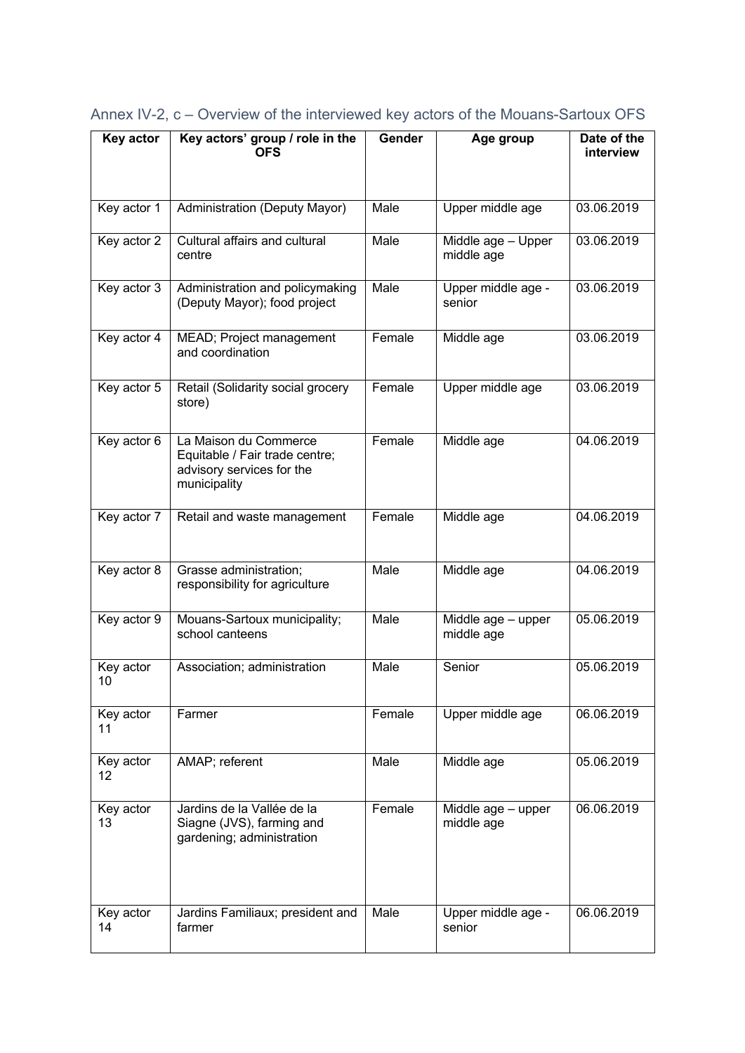| Key actor       | Key actors' group / role in the<br><b>OFS</b>                                                        | Gender | Age group                        | Date of the<br>interview |
|-----------------|------------------------------------------------------------------------------------------------------|--------|----------------------------------|--------------------------|
| Key actor 1     | Administration (Deputy Mayor)                                                                        | Male   | Upper middle age                 | 03.06.2019               |
| Key actor 2     | Cultural affairs and cultural<br>centre                                                              | Male   | Middle age - Upper<br>middle age | 03.06.2019               |
| Key actor 3     | Administration and policymaking<br>(Deputy Mayor); food project                                      | Male   | Upper middle age -<br>senior     | 03.06.2019               |
| Key actor 4     | MEAD; Project management<br>and coordination                                                         | Female | Middle age                       | 03.06.2019               |
| Key actor 5     | Retail (Solidarity social grocery<br>store)                                                          | Female | Upper middle age                 | 03.06.2019               |
| Key actor 6     | La Maison du Commerce<br>Equitable / Fair trade centre;<br>advisory services for the<br>municipality | Female | Middle age                       | 04.06.2019               |
| Key actor 7     | Retail and waste management                                                                          | Female | Middle age                       | 04.06.2019               |
| Key actor 8     | Grasse administration;<br>responsibility for agriculture                                             | Male   | Middle age                       | 04.06.2019               |
| Key actor 9     | Mouans-Sartoux municipality;<br>school canteens                                                      | Male   | Middle age - upper<br>middle age | 05.06.2019               |
| Key actor<br>10 | Association; administration                                                                          | Male   | Senior                           | 05.06.2019               |
| Key actor<br>11 | Farmer                                                                                               | Female | Upper middle age                 | 06.06.2019               |
| Key actor<br>12 | AMAP; referent                                                                                       | Male   | Middle age                       | 05.06.2019               |
| Key actor<br>13 | Jardins de la Vallée de la<br>Siagne (JVS), farming and<br>gardening; administration                 | Female | Middle age - upper<br>middle age | 06.06.2019               |
| Key actor<br>14 | Jardins Familiaux; president and<br>farmer                                                           | Male   | Upper middle age -<br>senior     | 06.06.2019               |

Annex IV-2, c – Overview of the interviewed key actors of the Mouans-Sartoux OFS